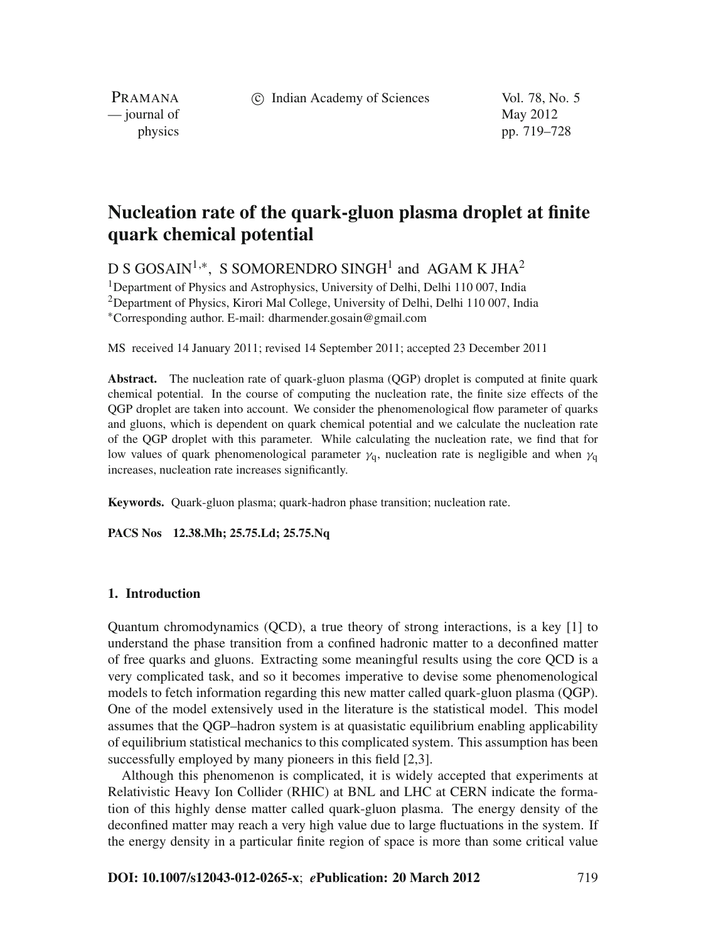c Indian Academy of Sciences Vol. 78, No. 5

PRAMANA  $\frac{1}{2}$  journal of May 2012

physics pp. 719–728

# **Nucleation rate of the quark-gluon plasma droplet at finite quark chemical potential**

D S GOSAIN<sup>1,∗</sup>, S SOMORENDRO SINGH<sup>1</sup> and AGAM K JHA<sup>2</sup>

<sup>1</sup>Department of Physics and Astrophysics, University of Delhi, Delhi 110 007, India <sup>2</sup>Department of Physics, Kirori Mal College, University of Delhi, Delhi 110 007, India <sup>∗</sup>Corresponding author. E-mail: dharmender.gosain@gmail.com

MS received 14 January 2011; revised 14 September 2011; accepted 23 December 2011

**Abstract.** The nucleation rate of quark-gluon plasma (QGP) droplet is computed at finite quark chemical potential. In the course of computing the nucleation rate, the finite size effects of the QGP droplet are taken into account. We consider the phenomenological flow parameter of quarks and gluons, which is dependent on quark chemical potential and we calculate the nucleation rate of the QGP droplet with this parameter. While calculating the nucleation rate, we find that for low values of quark phenomenological parameter  $\gamma_0$ , nucleation rate is negligible and when  $\gamma_0$ increases, nucleation rate increases significantly.

**Keywords.** Quark-gluon plasma; quark-hadron phase transition; nucleation rate.

**PACS Nos 12.38.Mh; 25.75.Ld; 25.75.Nq**

# **1. Introduction**

Quantum chromodynamics (QCD), a true theory of strong interactions, is a key [1] to understand the phase transition from a confined hadronic matter to a deconfined matter of free quarks and gluons. Extracting some meaningful results using the core QCD is a very complicated task, and so it becomes imperative to devise some phenomenological models to fetch information regarding this new matter called quark-gluon plasma (QGP). One of the model extensively used in the literature is the statistical model. This model assumes that the QGP–hadron system is at quasistatic equilibrium enabling applicability of equilibrium statistical mechanics to this complicated system. This assumption has been successfully employed by many pioneers in this field [2,3].

Although this phenomenon is complicated, it is widely accepted that experiments at Relativistic Heavy Ion Collider (RHIC) at BNL and LHC at CERN indicate the formation of this highly dense matter called quark-gluon plasma. The energy density of the deconfined matter may reach a very high value due to large fluctuations in the system. If the energy density in a particular finite region of space is more than some critical value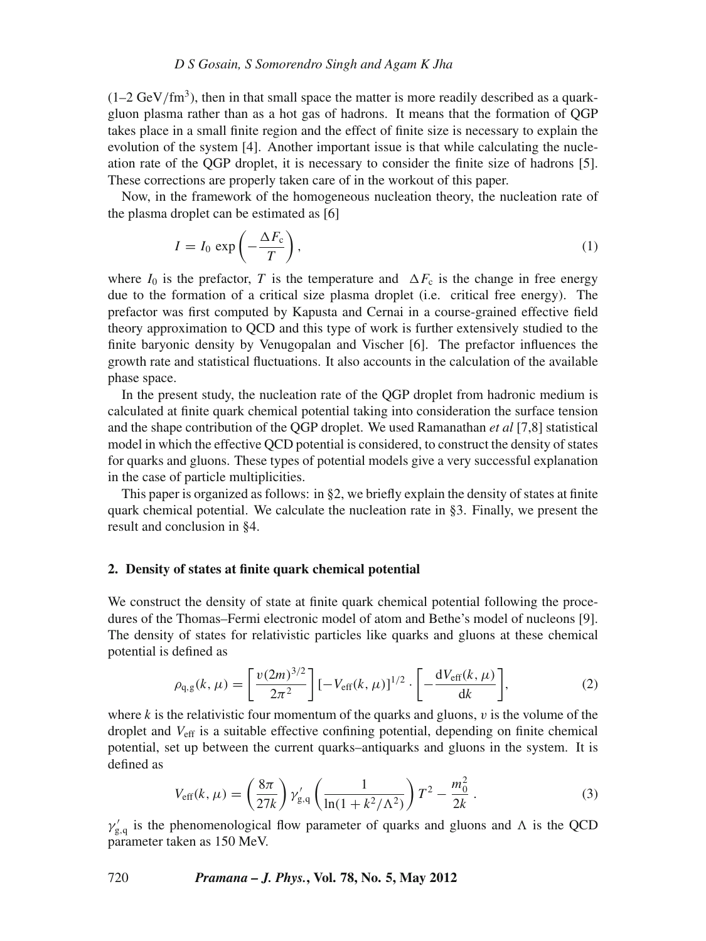$(1-2 \text{ GeV}/\text{fm}^3)$ , then in that small space the matter is more readily described as a quarkgluon plasma rather than as a hot gas of hadrons. It means that the formation of QGP takes place in a small finite region and the effect of finite size is necessary to explain the evolution of the system [4]. Another important issue is that while calculating the nucleation rate of the QGP droplet, it is necessary to consider the finite size of hadrons [5]. These corrections are properly taken care of in the workout of this paper.

Now, in the framework of the homogeneous nucleation theory, the nucleation rate of the plasma droplet can be estimated as [6]

$$
I = I_0 \exp\left(-\frac{\Delta F_c}{T}\right),\tag{1}
$$

where  $I_0$  is the prefactor, *T* is the temperature and  $\Delta F_c$  is the change in free energy due to the formation of a critical size plasma droplet (i.e. critical free energy). The prefactor was first computed by Kapusta and Cernai in a course-grained effective field theory approximation to QCD and this type of work is further extensively studied to the finite baryonic density by Venugopalan and Vischer [6]. The prefactor influences the growth rate and statistical fluctuations. It also accounts in the calculation of the available phase space.

In the present study, the nucleation rate of the QGP droplet from hadronic medium is calculated at finite quark chemical potential taking into consideration the surface tension and the shape contribution of the QGP droplet. We used Ramanathan *et al* [7,8] statistical model in which the effective QCD potential is considered, to construct the density of states for quarks and gluons. These types of potential models give a very successful explanation in the case of particle multiplicities.

This paper is organized as follows: in  $\S$ 2, we briefly explain the density of states at finite quark chemical potential. We calculate the nucleation rate in §3. Finally, we present the result and conclusion in §4.

## **2. Density of states at finite quark chemical potential**

We construct the density of state at finite quark chemical potential following the procedures of the Thomas–Fermi electronic model of atom and Bethe's model of nucleons [9]. The density of states for relativistic particles like quarks and gluons at these chemical potential is defined as

$$
\rho_{q,g}(k,\mu) = \left[\frac{v(2m)^{3/2}}{2\pi^2}\right] \left[-V_{\text{eff}}(k,\mu)\right]^{1/2} \cdot \left[-\frac{dV_{\text{eff}}(k,\mu)}{dk}\right],\tag{2}
$$

where  $k$  is the relativistic four momentum of the quarks and gluons,  $v$  is the volume of the droplet and *V*eff is a suitable effective confining potential, depending on finite chemical potential, set up between the current quarks–antiquarks and gluons in the system. It is defined as

$$
V_{\rm eff}(k,\,\mu) = \left(\frac{8\pi}{27k}\right) \gamma'_{\rm g,q} \left(\frac{1}{\ln(1+k^2/\Lambda^2)}\right) T^2 - \frac{m_0^2}{2k} \,. \tag{3}
$$

 $\gamma_{g,q}$  is the phenomenological flow parameter of quarks and gluons and  $\Lambda$  is the QCD parameter taken as 150 MeV.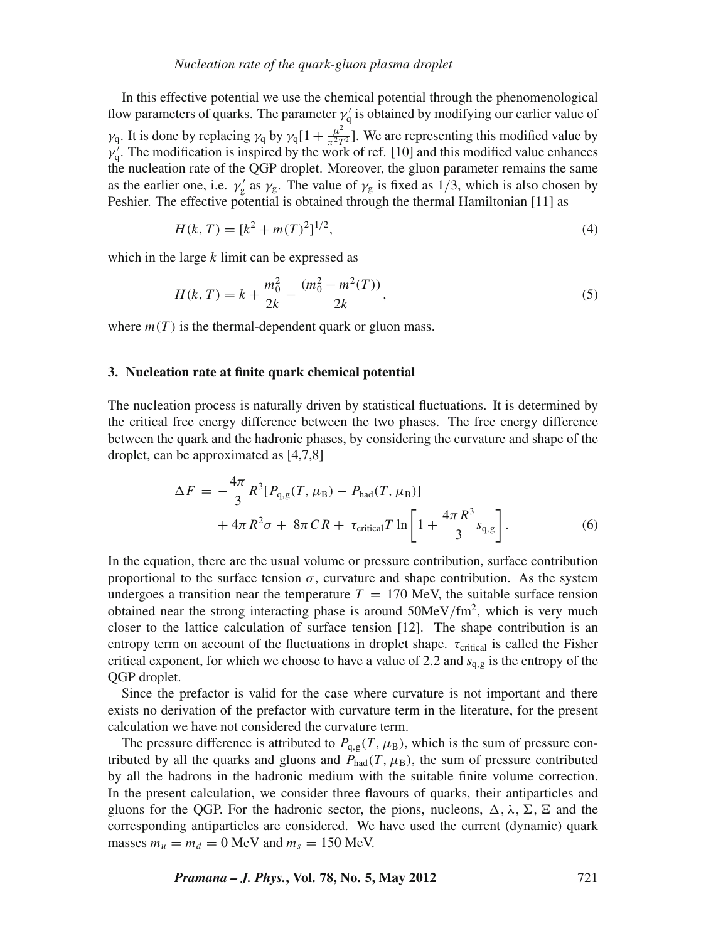In this effective potential we use the chemical potential through the phenomenological flow parameters of quarks. The parameter  $\gamma'_{q}$  is obtained by modifying our earlier value of  $\gamma_q$ . It is done by replacing  $\gamma_q$  by  $\gamma_q[1 + \frac{\mu^2}{\pi^2 T^2}]$ . We are representing this modified value by  $\gamma'_{q}$ . The modification is inspired by the work of ref. [10] and this modified value enhances the nucleation rate of the QGP droplet. Moreover, the gluon parameter remains the same as the earlier one, i.e.  $\gamma_g'$  as  $\gamma_g$ . The value of  $\gamma_g$  is fixed as 1/3, which is also chosen by Peshier. The effective potential is obtained through the thermal Hamiltonian [11] as

$$
H(k, T) = [k2 + m(T)2]^{1/2},
$$
\n(4)

which in the large *k* limit can be expressed as

$$
H(k, T) = k + \frac{m_0^2}{2k} - \frac{(m_0^2 - m^2(T))}{2k},
$$
\n(5)

where  $m(T)$  is the thermal-dependent quark or gluon mass.

## **3. Nucleation rate at finite quark chemical potential**

The nucleation process is naturally driven by statistical fluctuations. It is determined by the critical free energy difference between the two phases. The free energy difference between the quark and the hadronic phases, by considering the curvature and shape of the droplet, can be approximated as [4,7,8]

$$
\Delta F = -\frac{4\pi}{3} R^3 [P_{q,g}(T,\mu_B) - P_{had}(T,\mu_B)] + 4\pi R^2 \sigma + 8\pi C R + \tau_{critical} T \ln \left[ 1 + \frac{4\pi R^3}{3} s_{q,g} \right].
$$
 (6)

In the equation, there are the usual volume or pressure contribution, surface contribution proportional to the surface tension  $\sigma$ , curvature and shape contribution. As the system undergoes a transition near the temperature  $T = 170$  MeV, the suitable surface tension obtained near the strong interacting phase is around  $50MeV/fm<sup>2</sup>$ , which is very much closer to the lattice calculation of surface tension [12]. The shape contribution is an entropy term on account of the fluctuations in droplet shape.  $\tau_{critical}$  is called the Fisher critical exponent, for which we choose to have a value of 2.2 and *s*<sup>q</sup>,<sup>g</sup> is the entropy of the QGP droplet.

Since the prefactor is valid for the case where curvature is not important and there exists no derivation of the prefactor with curvature term in the literature, for the present calculation we have not considered the curvature term.

The pressure difference is attributed to  $P_{q,g}(T,\mu_B)$ , which is the sum of pressure contributed by all the quarks and gluons and  $P_{\text{had}}(T,\mu_{\text{B}})$ , the sum of pressure contributed by all the hadrons in the hadronic medium with the suitable finite volume correction. In the present calculation, we consider three flavours of quarks, their antiparticles and gluons for the QGP. For the hadronic sector, the pions, nucleons,  $\Delta$ ,  $\lambda$ ,  $\Sigma$ ,  $\Sigma$  and the corresponding antiparticles are considered. We have used the current (dynamic) quark masses  $m_u = m_d = 0$  MeV and  $m_s = 150$  MeV.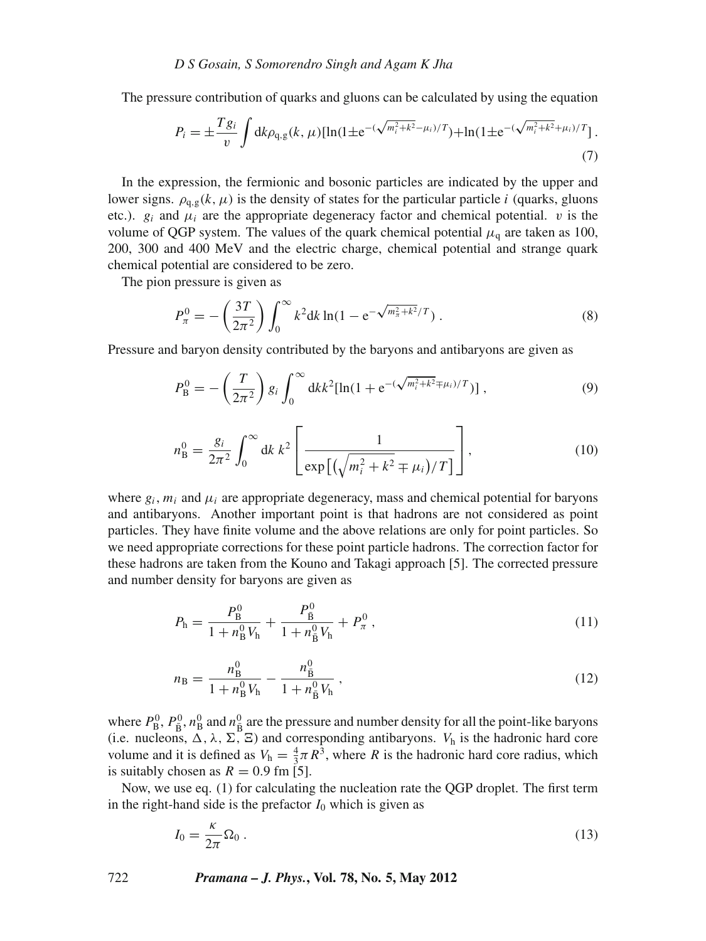The pressure contribution of quarks and gluons can be calculated by using the equation

$$
P_i = \pm \frac{T g_i}{v} \int \mathrm{d}k \rho_{q,g}(k,\,\mu) [\ln(1 \pm \mathrm{e}^{-(\sqrt{m_i^2 + k^2} - \mu_i)/T}) + \ln(1 \pm \mathrm{e}^{-(\sqrt{m_i^2 + k^2} + \mu_i)/T}). \tag{7}
$$

In the expression, the fermionic and bosonic particles are indicated by the upper and lower signs.  $\rho_{q,g}(k,\mu)$  is the density of states for the particular particle *i* (quarks, gluons etc.).  $g_i$  and  $\mu_i$  are the appropriate degeneracy factor and chemical potential. v is the volume of QGP system. The values of the quark chemical potential  $\mu_a$  are taken as 100, 200, 300 and 400 MeV and the electric charge, chemical potential and strange quark chemical potential are considered to be zero.

The pion pressure is given as

$$
P_{\pi}^{0} = -\left(\frac{3T}{2\pi^{2}}\right) \int_{0}^{\infty} k^{2} dk \ln(1 - e^{-\sqrt{m_{\pi}^{2} + k^{2}}/T}). \tag{8}
$$

Pressure and baryon density contributed by the baryons and antibaryons are given as

$$
P_{\rm B}^0 = -\left(\frac{T}{2\pi^2}\right) g_i \int_0^\infty dk k^2 [\ln(1 + e^{-(\sqrt{m_i^2 + k^2} \mp \mu_i)/T})], \tag{9}
$$

$$
n_{\rm B}^0 = \frac{g_i}{2\pi^2} \int_0^\infty dk \, k^2 \left[ \frac{1}{\exp\left[ \left( \sqrt{m_i^2 + k^2} \mp \mu_i \right) / T \right]} \right],\tag{10}
$$

where  $g_i$ ,  $m_i$  and  $\mu_i$  are appropriate degeneracy, mass and chemical potential for baryons and antibaryons. Another important point is that hadrons are not considered as point particles. They have finite volume and the above relations are only for point particles. So we need appropriate corrections for these point particle hadrons. The correction factor for these hadrons are taken from the Kouno and Takagi approach [5]. The corrected pressure and number density for baryons are given as

$$
P_{\rm h} = \frac{P_{\rm B}^0}{1 + n_{\rm B}^0 V_{\rm h}} + \frac{P_{\rm B}^0}{1 + n_{\rm B}^0 V_{\rm h}} + P_{\pi}^0 \,,\tag{11}
$$

$$
n_{\rm B} = \frac{n_{\rm B}^0}{1 + n_{\rm B}^0 V_{\rm h}} - \frac{n_{\rm B}^0}{1 + n_{\rm B}^0 V_{\rm h}}\,,\tag{12}
$$

where  $P_B^0$ ,  $P_{\bar{B}}^0$ ,  $n_B^0$  and  $n_{\bar{B}}^0$  are the pressure and number density for all the point-like baryons (i.e. nucleons,  $\Delta$ ,  $\lambda$ ,  $\Sigma$ ,  $\Xi$ ) and corresponding antibaryons. *V*<sub>h</sub> is the hadronic hard core volume and it is defined as  $V_h = \frac{4}{3}\pi R^3$ , where *R* is the hadronic hard core radius, which is suitably chosen as  $R = 0.9$  fm [5].

Now, we use eq. (1) for calculating the nucleation rate the QGP droplet. The first term in the right-hand side is the prefactor  $I_0$  which is given as

$$
I_0 = \frac{\kappa}{2\pi} \Omega_0 \,. \tag{13}
$$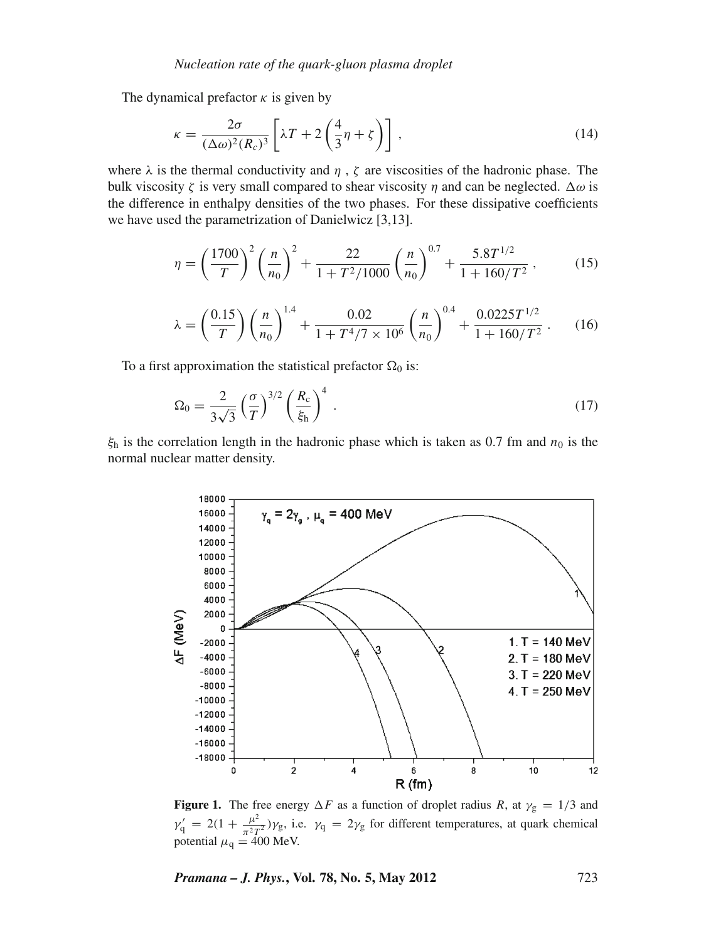The dynamical prefactor  $\kappa$  is given by

$$
\kappa = \frac{2\sigma}{(\Delta\omega)^2 (R_c)^3} \left[ \lambda T + 2 \left( \frac{4}{3} \eta + \zeta \right) \right],\tag{14}
$$

where  $\lambda$  is the thermal conductivity and  $\eta$ ,  $\zeta$  are viscosities of the hadronic phase. The bulk viscosity  $\zeta$  is very small compared to shear viscosity  $\eta$  and can be neglected.  $\Delta \omega$  is the difference in enthalpy densities of the two phases. For these dissipative coefficients we have used the parametrization of Danielwicz [3,13].

$$
\eta = \left(\frac{1700}{T}\right)^2 \left(\frac{n}{n_0}\right)^2 + \frac{22}{1 + T^2/1000} \left(\frac{n}{n_0}\right)^{0.7} + \frac{5.8T^{1/2}}{1 + 160/T^2},\tag{15}
$$

$$
\lambda = \left(\frac{0.15}{T}\right) \left(\frac{n}{n_0}\right)^{1.4} + \frac{0.02}{1 + T^4 / 7 \times 10^6} \left(\frac{n}{n_0}\right)^{0.4} + \frac{0.0225 T^{1/2}}{1 + 160 / T^2} \,. \tag{16}
$$

To a first approximation the statistical prefactor  $\Omega_0$  is:

$$
\Omega_0 = \frac{2}{3\sqrt{3}} \left(\frac{\sigma}{T}\right)^{3/2} \left(\frac{R_c}{\xi_h}\right)^4 \,. \tag{17}
$$

 $\xi$ <sub>h</sub> is the correlation length in the hadronic phase which is taken as 0.7 fm and  $n_0$  is the normal nuclear matter density.



**Figure 1.** The free energy  $\Delta F$  as a function of droplet radius R, at  $\gamma_{\rm g} = 1/3$  and  $\gamma'_q = 2(1 + \frac{\mu^2}{\pi^2 T^2}) \gamma_g$ , i.e.  $\gamma_q = 2 \gamma_g$  for different temperatures, at quark chemical potential  $\mu_q = 400$  MeV.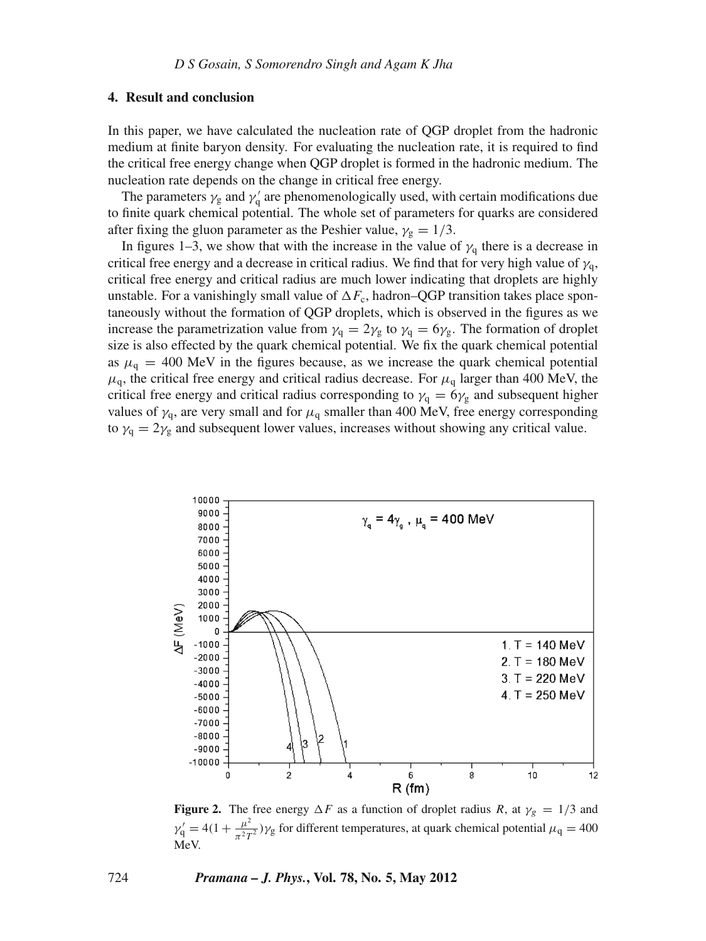# **4. Result and conclusion**

In this paper, we have calculated the nucleation rate of QGP droplet from the hadronic medium at finite baryon density. For evaluating the nucleation rate, it is required to find the critical free energy change when QGP droplet is formed in the hadronic medium. The nucleation rate depends on the change in critical free energy.

The parameters  $\gamma_{\rm g}$  and  $\gamma_{\rm q}^{\prime}$  are phenomenologically used, with certain modifications due to finite quark chemical potential. The whole set of parameters for quarks are considered after fixing the gluon parameter as the Peshier value,  $\gamma_{\rm g} = 1/3$ .

In figures 1–3, we show that with the increase in the value of  $\gamma_q$  there is a decrease in critical free energy and a decrease in critical radius. We find that for very high value of  $\gamma_q$ , critical free energy and critical radius are much lower indicating that droplets are highly unstable. For a vanishingly small value of  $\Delta F_c$ , hadron–QGP transition takes place spontaneously without the formation of QGP droplets, which is observed in the figures as we increase the parametrization value from  $\gamma_q = 2\gamma_g$  to  $\gamma_q = 6\gamma_g$ . The formation of droplet size is also effected by the quark chemical potential. We fix the quark chemical potential as  $\mu_{q} = 400$  MeV in the figures because, as we increase the quark chemical potential  $\mu_{q}$ , the critical free energy and critical radius decrease. For  $\mu_{q}$  larger than 400 MeV, the critical free energy and critical radius corresponding to  $\gamma_q = 6\gamma_g$  and subsequent higher values of  $\gamma_q$ , are very small and for  $\mu_q$  smaller than 400 MeV, free energy corresponding to  $\gamma_{q} = 2\gamma_{g}$  and subsequent lower values, increases without showing any critical value.



**Figure 2.** The free energy  $\Delta F$  as a function of droplet radius R, at  $\gamma_g = 1/3$  and  $\gamma'_1 = 4(1 + \frac{\mu^2}{\pi^2 T^2}) \gamma_g$  for different temperatures, at quark chemical potential  $\mu_q = 400$ MeV.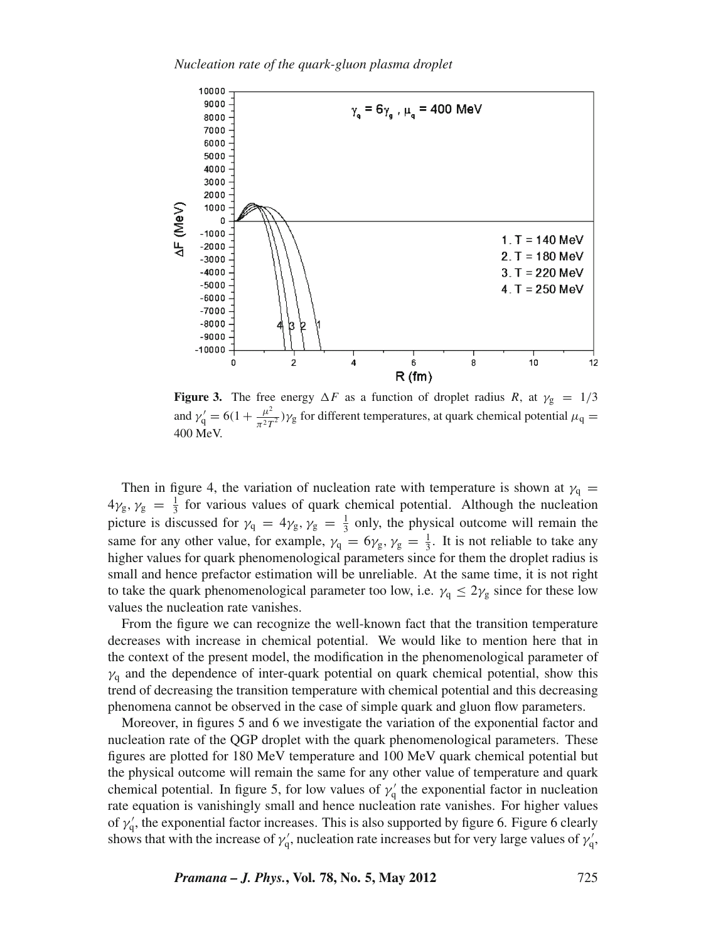

**Figure 3.** The free energy  $\Delta F$  as a function of droplet radius *R*, at  $\gamma_{\rm g} = 1/3$ and  $\gamma_1' = 6(1 + \frac{\mu^2}{\pi^2 T^2}) \gamma_g$  for different temperatures, at quark chemical potential  $\mu_q =$ 400 MeV.

Then in figure 4, the variation of nucleation rate with temperature is shown at  $\gamma_q =$  $4\gamma_{\rm g}, \gamma_{\rm g} = \frac{1}{3}$  for various values of quark chemical potential. Although the nucleation picture is discussed for  $\gamma_q = 4\gamma_g$ ,  $\gamma_g = \frac{1}{3}$  only, the physical outcome will remain the same for any other value, for example,  $\gamma_q = 6\gamma_g$ ,  $\gamma_g = \frac{1}{3}$ . It is not reliable to take any higher values for quark phenomenological parameters since for them the droplet radius is small and hence prefactor estimation will be unreliable. At the same time, it is not right to take the quark phenomenological parameter too low, i.e.  $\gamma_q \leq 2\gamma_g$  since for these low values the nucleation rate vanishes.

From the figure we can recognize the well-known fact that the transition temperature decreases with increase in chemical potential. We would like to mention here that in the context of the present model, the modification in the phenomenological parameter of  $\gamma_q$  and the dependence of inter-quark potential on quark chemical potential, show this trend of decreasing the transition temperature with chemical potential and this decreasing phenomena cannot be observed in the case of simple quark and gluon flow parameters.

Moreover, in figures 5 and 6 we investigate the variation of the exponential factor and nucleation rate of the QGP droplet with the quark phenomenological parameters. These figures are plotted for 180 MeV temperature and 100 MeV quark chemical potential but the physical outcome will remain the same for any other value of temperature and quark chemical potential. In figure 5, for low values of  $\gamma_q'$  the exponential factor in nucleation rate equation is vanishingly small and hence nucleation rate vanishes. For higher values of  $\gamma'_{q}$ , the exponential factor increases. This is also supported by figure 6. Figure 6 clearly shows that with the increase of  $\gamma'_{q}$ , nucleation rate increases but for very large values of  $\gamma'_{q}$ ,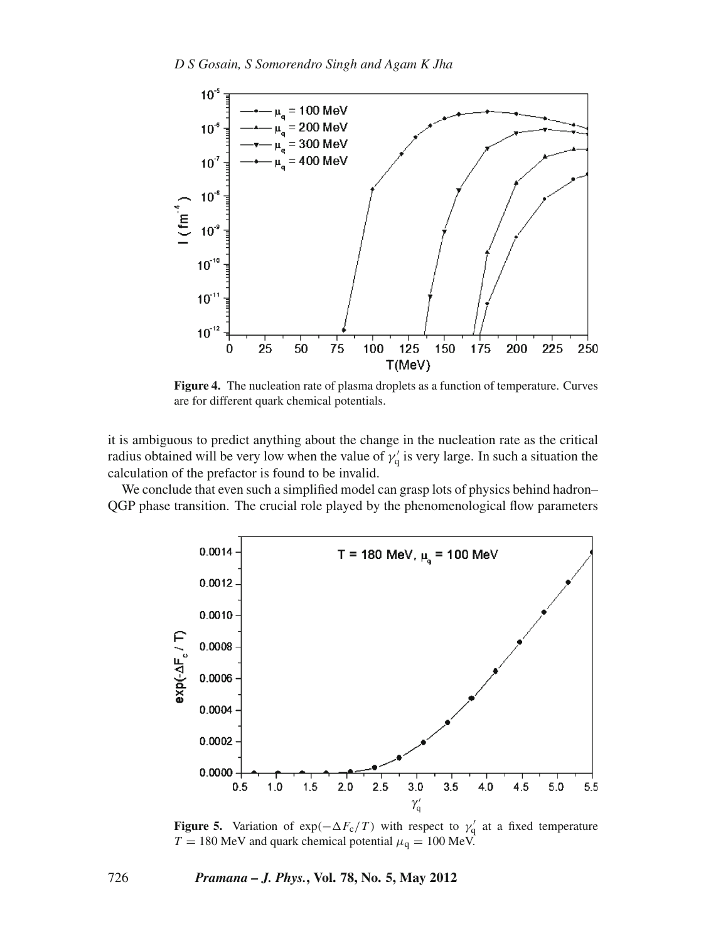

**Figure 4.** The nucleation rate of plasma droplets as a function of temperature. Curves are for different quark chemical potentials.

it is ambiguous to predict anything about the change in the nucleation rate as the critical radius obtained will be very low when the value of  $\gamma'_{q}$  is very large. In such a situation the calculation of the prefactor is found to be invalid.

We conclude that even such a simplified model can grasp lots of physics behind hadron– QGP phase transition. The crucial role played by the phenomenological flow parameters



**Figure 5.** Variation of  $exp(-\Delta F_c/T)$  with respect to  $\gamma'_q$  at a fixed temperature  $T = 180$  MeV and quark chemical potential  $\mu_q = 100$  MeV.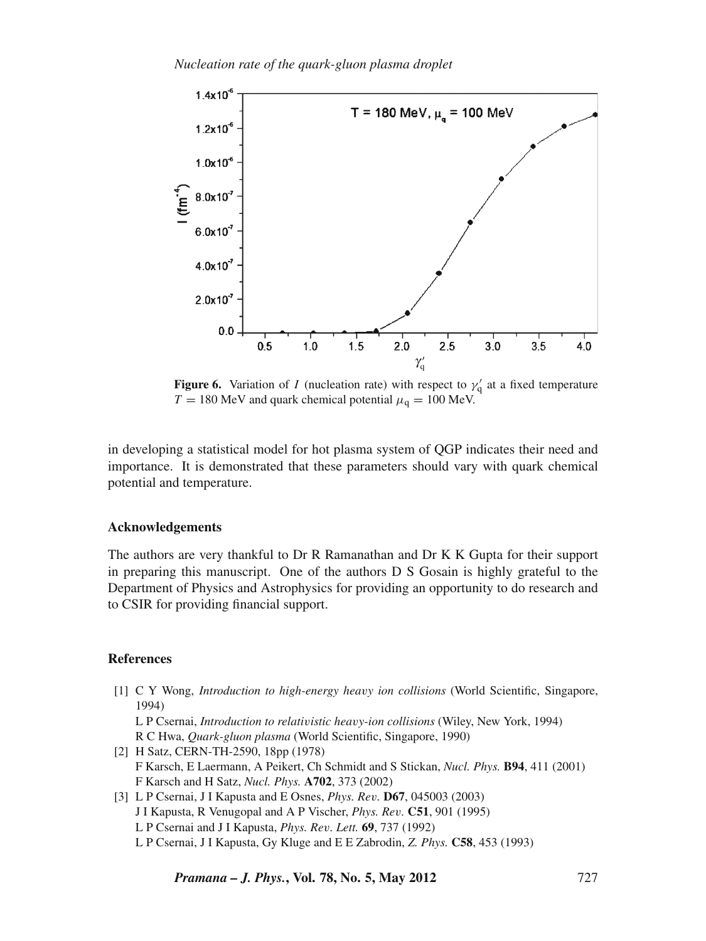

**Figure 6.** Variation of *I* (nucleation rate) with respect to  $\gamma_q'$  at a fixed temperature  $T = 180$  MeV and quark chemical potential  $\mu<sub>q</sub> = 100$  MeV.

in developing a statistical model for hot plasma system of QGP indicates their need and importance. It is demonstrated that these parameters should vary with quark chemical potential and temperature.

## **Acknowledgements**

The authors are very thankful to Dr R Ramanathan and Dr K K Gupta for their support in preparing this manuscript. One of the authors D S Gosain is highly grateful to the Department of Physics and Astrophysics for providing an opportunity to do research and to CSIR for providing financial support.

#### **References**

[1] C Y Wong, *Introduction to high-energy hea*v*y ion collisions* (World Scientific, Singapore, 1994)

L P Csernai, *Introduction to relati*v*istic hea*v*y-ion collisions* (Wiley, New York, 1994) R C Hwa, *Quark-gluon plasma* (World Scientific, Singapore, 1990)

- [2] H Satz, CERN-TH-2590, 18pp (1978) F Karsch, E Laermann, A Peikert, Ch Schmidt and S Stickan, *Nucl. Phys.* **B94**, 411 (2001) F Karsch and H Satz, *Nucl. Phys.* **A702**, 373 (2002)
- [3] L P Csernai, J I Kapusta and E Osnes, *Phys. Re*v*.* **D67**, 045003 (2003) J I Kapusta, R Venugopal and A P Vischer, *Phys. Re*v*.* **C51**, 901 (1995) L P Csernai and J I Kapusta, *Phys. Re*v*. Lett.* **69**, 737 (1992) L P Csernai, J I Kapusta, Gy Kluge and E E Zabrodin, *Z. Phys.* **C58**, 453 (1993)